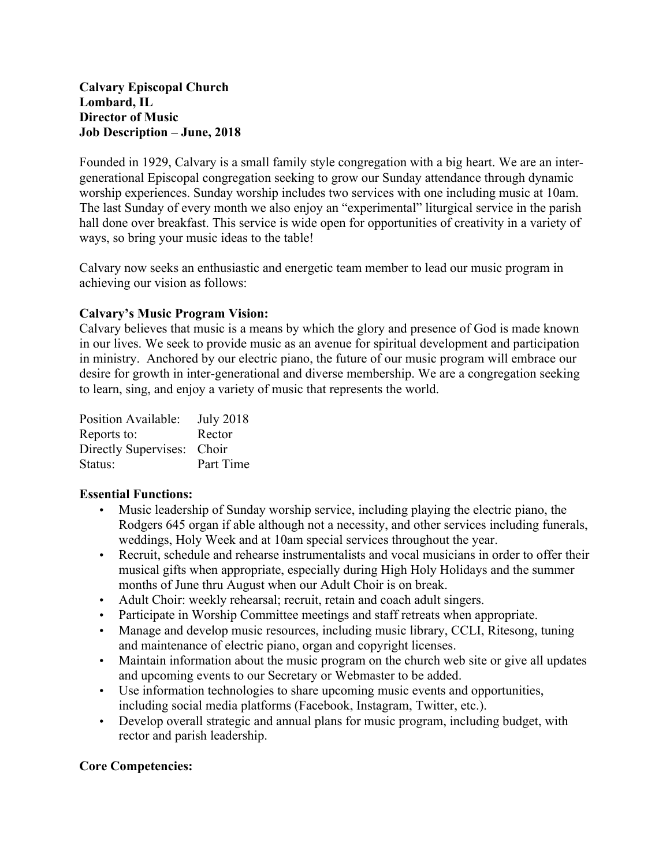#### **Calvary Episcopal Church Lombard, IL Director of Music Job Description – June, 2018**

Founded in 1929, Calvary is a small family style congregation with a big heart. We are an intergenerational Episcopal congregation seeking to grow our Sunday attendance through dynamic worship experiences. Sunday worship includes two services with one including music at 10am. The last Sunday of every month we also enjoy an "experimental" liturgical service in the parish hall done over breakfast. This service is wide open for opportunities of creativity in a variety of ways, so bring your music ideas to the table!

Calvary now seeks an enthusiastic and energetic team member to lead our music program in achieving our vision as follows:

### **Calvary's Music Program Vision:**

Calvary believes that music is a means by which the glory and presence of God is made known in our lives. We seek to provide music as an avenue for spiritual development and participation in ministry. Anchored by our electric piano, the future of our music program will embrace our desire for growth in inter-generational and diverse membership. We are a congregation seeking to learn, sing, and enjoy a variety of music that represents the world.

| Position Available:  | <b>July 2018</b> |
|----------------------|------------------|
| Reports to:          | Rector           |
| Directly Supervises: | Choir            |
| Status:              | Part Time        |

#### **Essential Functions:**

- Music leadership of Sunday worship service, including playing the electric piano, the Rodgers 645 organ if able although not a necessity, and other services including funerals, weddings, Holy Week and at 10am special services throughout the year.
- Recruit, schedule and rehearse instrumentalists and vocal musicians in order to offer their musical gifts when appropriate, especially during High Holy Holidays and the summer months of June thru August when our Adult Choir is on break.
- Adult Choir: weekly rehearsal; recruit, retain and coach adult singers.
- Participate in Worship Committee meetings and staff retreats when appropriate.
- Manage and develop music resources, including music library, CCLI, Ritesong, tuning and maintenance of electric piano, organ and copyright licenses.
- Maintain information about the music program on the church web site or give all updates and upcoming events to our Secretary or Webmaster to be added.
- Use information technologies to share upcoming music events and opportunities, including social media platforms (Facebook, Instagram, Twitter, etc.).
- Develop overall strategic and annual plans for music program, including budget, with rector and parish leadership.

### **Core Competencies:**